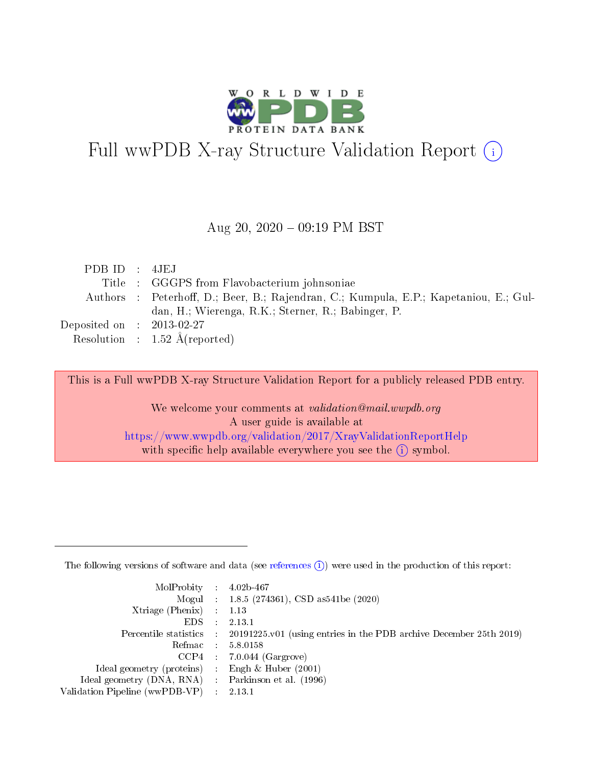

# Full wwPDB X-ray Structure Validation Report (i)

#### Aug 20,  $2020 - 09:19$  PM BST

| PDBID : 4JEJ                        |                                                                                       |
|-------------------------------------|---------------------------------------------------------------------------------------|
|                                     | Title : GGGPS from Flavobacterium johnsoniae                                          |
|                                     | Authors : Peterhoff, D.; Beer, B.; Rajendran, C.; Kumpula, E.P.; Kapetaniou, E.; Gul- |
|                                     | dan, H.; Wierenga, R.K.; Sterner, R.; Babinger, P.                                    |
| Deposited on $\;$ : 2013-02-27 $\;$ |                                                                                       |
|                                     | Resolution : $1.52 \text{ Å}$ (reported)                                              |

This is a Full wwPDB X-ray Structure Validation Report for a publicly released PDB entry.

We welcome your comments at validation@mail.wwpdb.org A user guide is available at <https://www.wwpdb.org/validation/2017/XrayValidationReportHelp> with specific help available everywhere you see the  $(i)$  symbol.

The following versions of software and data (see [references](https://www.wwpdb.org/validation/2017/XrayValidationReportHelp#references)  $(1)$ ) were used in the production of this report:

| $MolProbability$ 4.02b-467                          |                             |                                                                                            |
|-----------------------------------------------------|-----------------------------|--------------------------------------------------------------------------------------------|
|                                                     |                             | Mogul : $1.8.5$ (274361), CSD as 541be (2020)                                              |
| Xtriage (Phenix)                                    |                             | 1.13                                                                                       |
| EDS.                                                | $\mathcal{L}$               | 2.13.1                                                                                     |
|                                                     |                             | Percentile statistics : 20191225.v01 (using entries in the PDB archive December 25th 2019) |
|                                                     |                             | Refmac $5.8.0158$                                                                          |
| CCP4                                                |                             | $7.0.044$ (Gargrove)                                                                       |
| Ideal geometry (proteins)                           | $\mathcal{L}^{\mathcal{L}}$ | Engh $\&$ Huber (2001)                                                                     |
| Ideal geometry (DNA, RNA) : Parkinson et al. (1996) |                             |                                                                                            |
| Validation Pipeline (wwPDB-VP)                      | $\sim 10^{11}$ m $^{-1}$    | 2.13.1                                                                                     |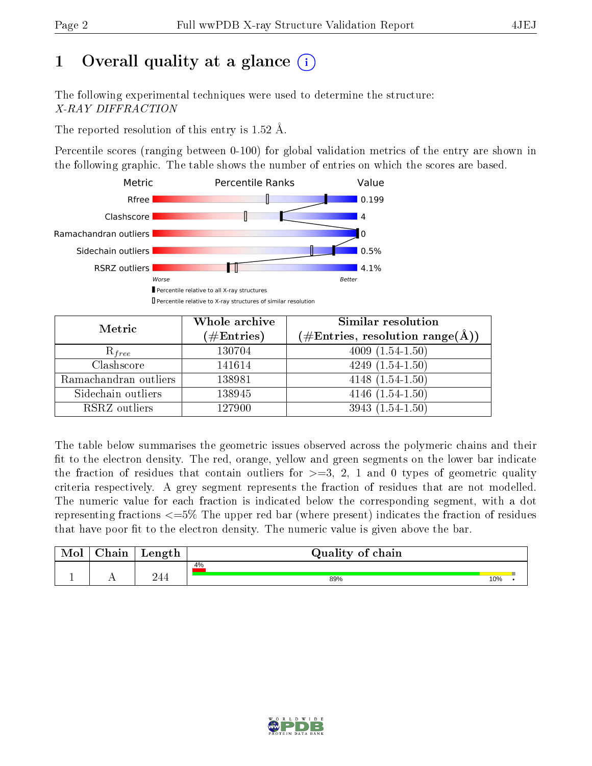# 1 [O](https://www.wwpdb.org/validation/2017/XrayValidationReportHelp#overall_quality)verall quality at a glance  $(i)$

The following experimental techniques were used to determine the structure: X-RAY DIFFRACTION

The reported resolution of this entry is  $1.52 \text{ Å}.$ 

Percentile scores (ranging between 0-100) for global validation metrics of the entry are shown in the following graphic. The table shows the number of entries on which the scores are based.



| Metric                | Whole archive<br>$(\#\mathrm{Entries})$ | Similar resolution<br>$(\#\text{Entries},\,\text{resolution}\,\,\text{range}(\textup{\AA}))$ |
|-----------------------|-----------------------------------------|----------------------------------------------------------------------------------------------|
| $R_{free}$            | 130704                                  | $4009(1.54-1.50)$                                                                            |
| Clashscore            | 141614                                  | $4249(1.54-1.50)$                                                                            |
| Ramachandran outliers | 138981                                  | $4148(1.54-1.50)$                                                                            |
| Sidechain outliers    | 138945                                  | $4146(1.54-1.50)$                                                                            |
| RSRZ outliers         | 127900                                  | $3943(1.54-1.50)$                                                                            |

The table below summarises the geometric issues observed across the polymeric chains and their fit to the electron density. The red, orange, yellow and green segments on the lower bar indicate the fraction of residues that contain outliers for  $>=3, 2, 1$  and 0 types of geometric quality criteria respectively. A grey segment represents the fraction of residues that are not modelled. The numeric value for each fraction is indicated below the corresponding segment, with a dot representing fractions  $\epsilon=5\%$  The upper red bar (where present) indicates the fraction of residues that have poor fit to the electron density. The numeric value is given above the bar.

| Mol | $\cap$ hain | Length | Quality of chain |     |  |
|-----|-------------|--------|------------------|-----|--|
|     |             |        | 4%               |     |  |
|     |             | 74 A   | 89%              | 10% |  |

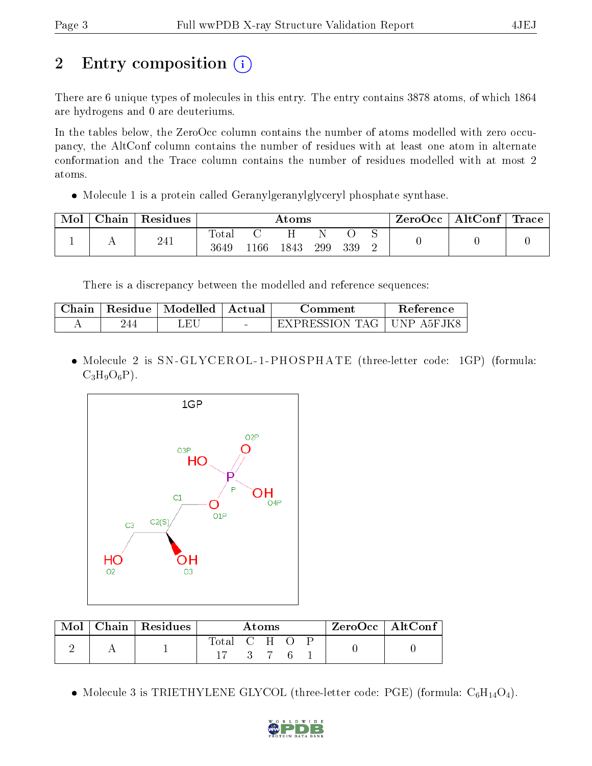# 2 Entry composition  $\left( \cdot \right)$

There are 6 unique types of molecules in this entry. The entry contains 3878 atoms, of which 1864 are hydrogens and 0 are deuteriums.

In the tables below, the ZeroOcc column contains the number of atoms modelled with zero occupancy, the AltConf column contains the number of residues with at least one atom in alternate conformation and the Trace column contains the number of residues modelled with at most 2 atoms.

• Molecule 1 is a protein called Geranylgeranylglyceryl phosphate synthase.

| Mol | $\perp$ Chain $\perp$ | $\perp$ Residues $\perp$ |               |      | $\rm{Atoms}$ |     |     |  | $\text{ZeroOcc} \mid \text{AltConf} \mid \text{Trace}$ |  |
|-----|-----------------------|--------------------------|---------------|------|--------------|-----|-----|--|--------------------------------------------------------|--|
|     |                       | 241                      | Total<br>3649 | 1166 | 1843         | 299 | 339 |  |                                                        |  |

There is a discrepancy between the modelled and reference sequences:

| Chain | Residue | Modelled | – Actual | ∴omment                | Reference  |
|-------|---------|----------|----------|------------------------|------------|
|       |         | ЕI       | $\sim$   | $+$ EXPRESSION TAG $+$ | UNP A5FJK8 |

• Molecule 2 is SN-GLYCEROL-1-PHOSPHATE (three-letter code: 1GP) (formula:  $C_3H_9O_6P$ ).



| Mol | $\vert$ Chain $\vert$ Residues $\vert$ | Atoms         |  |     |  | $ZeroOcc \mid AltConf \mid$ |  |
|-----|----------------------------------------|---------------|--|-----|--|-----------------------------|--|
|     |                                        | Total C H O P |  |     |  |                             |  |
|     |                                        |               |  | 376 |  |                             |  |

• Molecule 3 is TRIETHYLENE GLYCOL (three-letter code: PGE) (formula:  $C_6H_{14}O_4$ ).

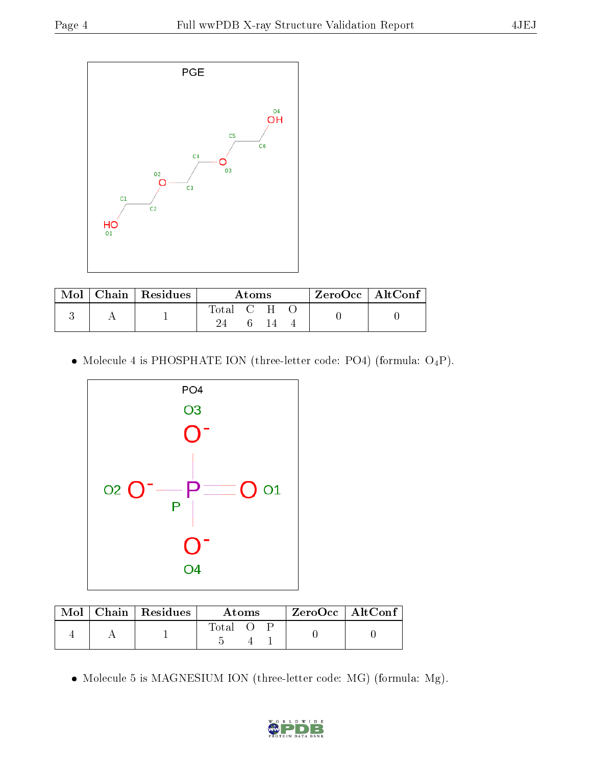

| Mol | $\vert$ Chain $\vert$ Residues | Atoms     |  |  | $ZeroOcc$   AltConf |  |
|-----|--------------------------------|-----------|--|--|---------------------|--|
|     |                                | Total C H |  |  |                     |  |
|     |                                |           |  |  |                     |  |

• Molecule 4 is PHOSPHATE ION (three-letter code: PO4) (formula:  $O_4P$ ).



|  | $Mol$   Chain   Residues | Atoms |  |  | $ZeroOcc$   AltConf |
|--|--------------------------|-------|--|--|---------------------|
|  |                          | Total |  |  |                     |

Molecule 5 is MAGNESIUM ION (three-letter code: MG) (formula: Mg).

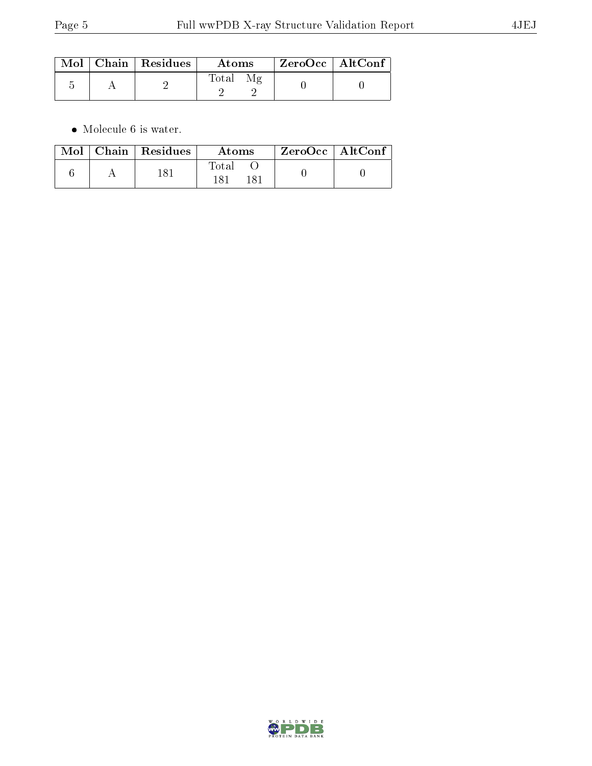|  | $\text{Mol}$   Chain   Residues | Atoms | ZeroOcc   AltConf |  |
|--|---------------------------------|-------|-------------------|--|
|  |                                 | Total |                   |  |

 $\bullet\,$  Molecule 6 is water.

|  | $\text{Mol}$   Chain   Residues | Atoms | $\mid$ ZeroOcc $\mid$ AltConf $\mid$ |  |
|--|---------------------------------|-------|--------------------------------------|--|
|  | 181                             | Total |                                      |  |

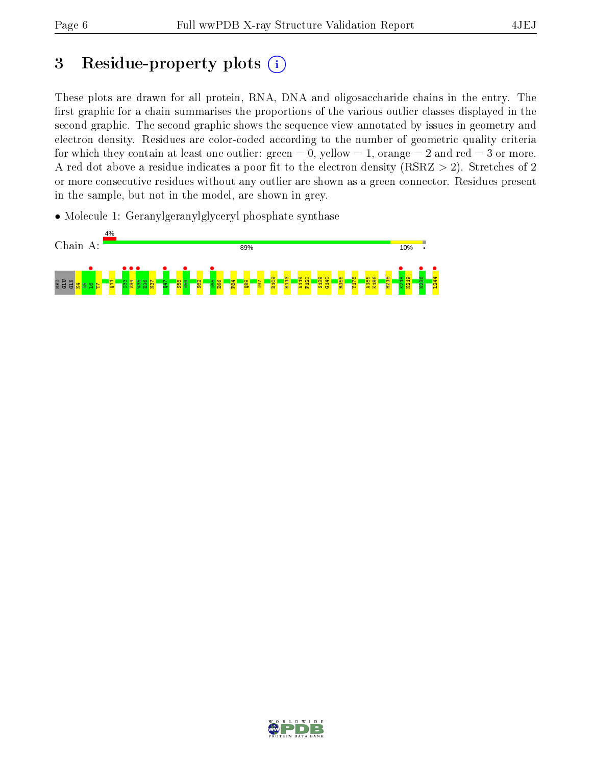# 3 Residue-property plots  $(i)$

These plots are drawn for all protein, RNA, DNA and oligosaccharide chains in the entry. The first graphic for a chain summarises the proportions of the various outlier classes displayed in the second graphic. The second graphic shows the sequence view annotated by issues in geometry and electron density. Residues are color-coded according to the number of geometric quality criteria for which they contain at least one outlier: green  $= 0$ , yellow  $= 1$ , orange  $= 2$  and red  $= 3$  or more. A red dot above a residue indicates a poor fit to the electron density ( $RSRZ > 2$ ). Stretches of 2 or more consecutive residues without any outlier are shown as a green connector. Residues present in the sample, but not in the model, are shown in grey.

• Molecule 1: Geranylgeranylglyceryl phosphate synthase



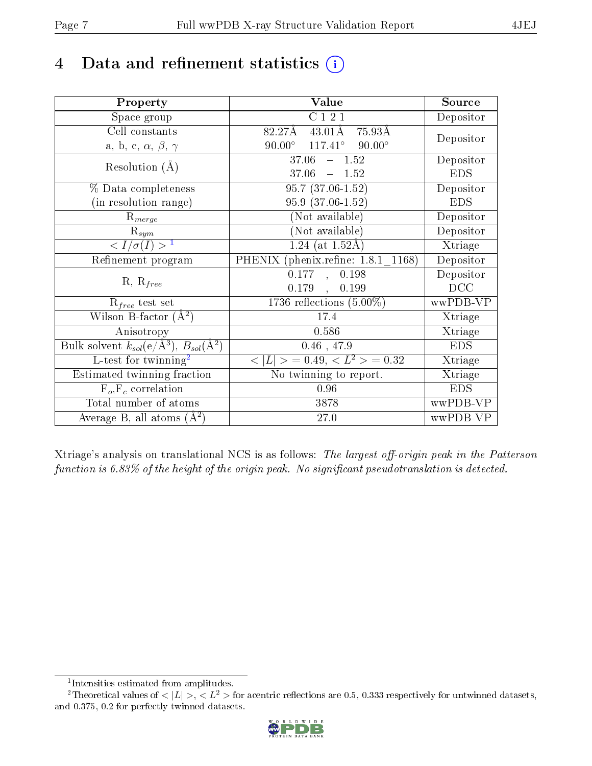# 4 Data and refinement statistics  $(i)$

| Property                                                   | Value                                                    | Source     |
|------------------------------------------------------------|----------------------------------------------------------|------------|
| Space group                                                | C121                                                     | Depositor  |
| Cell constants                                             | $43.01\text{\AA}$ 75.93Å<br>82.27Å                       |            |
| a, b, c, $\alpha$ , $\beta$ , $\gamma$                     | $90.00^{\circ}$ $117.41^{\circ}$ $90.00^{\circ}$         | Depositor  |
| Resolution $(A)$                                           | 37.06<br>$-1.52$                                         | Depositor  |
|                                                            | 37.06<br>$-1.52$                                         | <b>EDS</b> |
| % Data completeness                                        | $95.7(37.06-1.52)$                                       | Depositor  |
| (in resolution range)                                      | 95.9 (37.06-1.52)                                        | <b>EDS</b> |
| $R_{merge}$                                                | (Not available)                                          | Depositor  |
| $\mathrm{R}_{sym}$                                         | (Not available)                                          | Depositor  |
| $\langle I/\sigma(I) \rangle$ <sup>1</sup>                 | $1.24$ (at 1.52Å)                                        | Xtriage    |
| Refinement program                                         | PHENIX (phenix.refine: 1.8.1 1168)                       | Depositor  |
|                                                            | 0.177<br>0.198<br>$\sim$                                 | Depositor  |
| $R, R_{free}$                                              | $0.179$ ,<br>0.199                                       | DCC        |
| $R_{free}$ test set                                        | 1736 reflections $(5.00\%)$                              | wwPDB-VP   |
| Wilson B-factor $(A^2)$                                    | 17.4                                                     | Xtriage    |
| Anisotropy                                                 | 0.586                                                    | Xtriage    |
| Bulk solvent $k_{sol}$ (e/Å <sup>3</sup> ), $B_{sol}(A^2)$ | $0.46$ , 47.9                                            | <b>EDS</b> |
| L-test for $\mathrm{twinning}^2$                           | $\langle  L  \rangle = 0.49, \langle L^2 \rangle = 0.32$ | Xtriage    |
| Estimated twinning fraction                                | No twinning to report.                                   | Xtriage    |
| $\overline{F_o,F_c}$ correlation                           | 0.96                                                     | <b>EDS</b> |
| Total number of atoms                                      | 3878                                                     | wwPDB-VP   |
| Average B, all atoms $(A^2)$                               | 27.0                                                     | wwPDB-VP   |

Xtriage's analysis on translational NCS is as follows: The largest off-origin peak in the Patterson function is  $6.83\%$  of the height of the origin peak. No significant pseudotranslation is detected.

<sup>&</sup>lt;sup>2</sup>Theoretical values of  $\langle |L| \rangle$ ,  $\langle L^2 \rangle$  for acentric reflections are 0.5, 0.333 respectively for untwinned datasets, and 0.375, 0.2 for perfectly twinned datasets.



<span id="page-6-1"></span><span id="page-6-0"></span><sup>1</sup> Intensities estimated from amplitudes.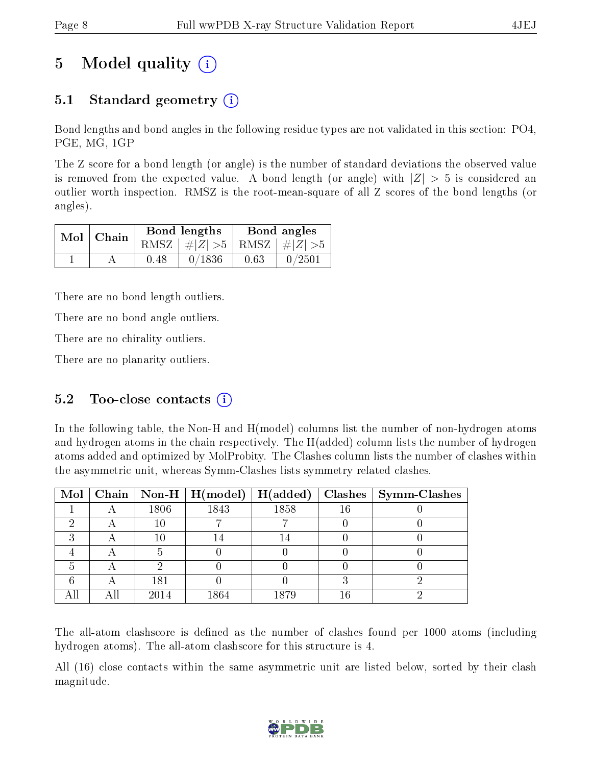# 5 Model quality  $(i)$

# 5.1 Standard geometry (i)

Bond lengths and bond angles in the following residue types are not validated in this section: PO4, PGE, MG, 1GP

The Z score for a bond length (or angle) is the number of standard deviations the observed value is removed from the expected value. A bond length (or angle) with  $|Z| > 5$  is considered an outlier worth inspection. RMSZ is the root-mean-square of all Z scores of the bond lengths (or angles).

| $Mol$   Chain |      | Bond lengths                    |      | Bond angles |
|---------------|------|---------------------------------|------|-------------|
|               |      | RMSZ $ #Z  > 5$ RMSZ $ #Z  > 5$ |      |             |
|               | 0.48 | 0/1836                          | 0.63 | 0/2501      |

There are no bond length outliers.

There are no bond angle outliers.

There are no chirality outliers.

There are no planarity outliers.

### 5.2 Too-close contacts  $(i)$

In the following table, the Non-H and H(model) columns list the number of non-hydrogen atoms and hydrogen atoms in the chain respectively. The H(added) column lists the number of hydrogen atoms added and optimized by MolProbity. The Clashes column lists the number of clashes within the asymmetric unit, whereas Symm-Clashes lists symmetry related clashes.

|  |      | Mol   Chain   Non-H   H(model) | H(added) |    | $Clashes$   Symm-Clashes |
|--|------|--------------------------------|----------|----|--------------------------|
|  | 1806 | 1843                           | 1858     | 16 |                          |
|  | 10   |                                |          |    |                          |
|  | 10   |                                |          |    |                          |
|  |      |                                |          |    |                          |
|  |      |                                |          |    |                          |
|  | 181  |                                |          |    |                          |
|  | 2014 | 1864                           | 1879     | 16 |                          |

The all-atom clashscore is defined as the number of clashes found per 1000 atoms (including hydrogen atoms). The all-atom clashscore for this structure is 4.

All (16) close contacts within the same asymmetric unit are listed below, sorted by their clash magnitude.

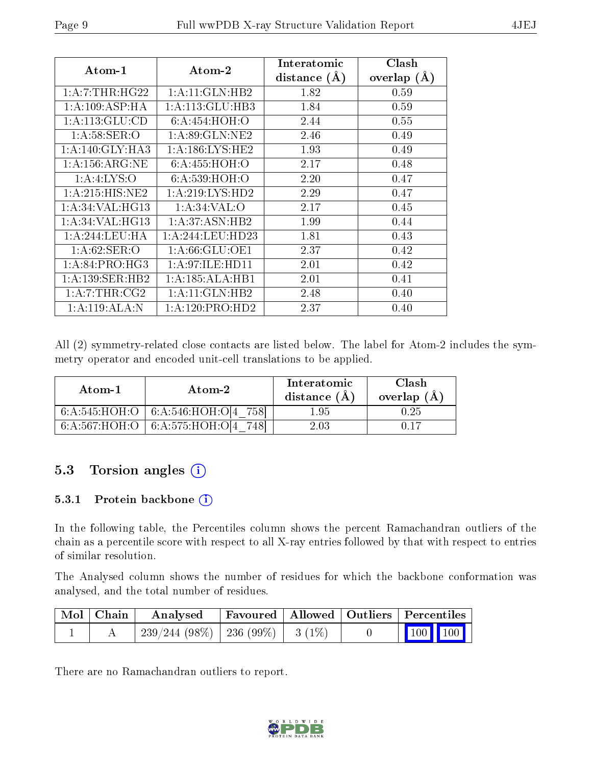| $Atom-1$                     | $\bold{A}\text{tom-}2$ | Interatomic<br>distance $(A)$ | Clash<br>overlap $(A)$ |
|------------------------------|------------------------|-------------------------------|------------------------|
| 1: A: 7: THR: HG22           | $1:$ A:11:GLN:HB2      | 1.82                          | 0.59                   |
| 1:A:109:ASP:HA               | 1: A:113: GLU:HB3      | 1.84                          | 0.59                   |
| 1: A:113: GLU:CD             | 6: A:454: HOH:O        | 2.44                          | 0.55                   |
| 1: A:58: SER:O               | 1: A:89: GLN: NE2      | 2.46                          | 0.49                   |
| 1:A:140:GLY:HA3              | 1: A: 186: LYS: HE2    | 1.93                          | 0.49                   |
| 1: A: 156: ARG: NE           | 6: A: 455: HOH:O       | 2.17                          | 0.48                   |
| 1: A: 4: LYS: O              | 6: A:539:HOH:O         | 2.20                          | 0.47                   |
| 1: A:215: HIS: NE2           | 1: A:219: LYS: HD2     | 2.29                          | 0.47                   |
| 1: A:34:VAL:HG13             | 1: A:34:VAL:           | 2.17                          | 0.45                   |
| 1: A:34: VAL:HG13            | 1:A:37:ASN:HB2         | 1.99                          | 0.44                   |
| 1:A:244:LEU:HA               | 1:A:244:LEU:HD23       | 1.81                          | 0.43                   |
| 1: A:62: SER:O               | 1: A:66: GLU:OE1       | 2.37                          | 0.42                   |
| $1: A:84:PRO:H\overline{G3}$ | 1: A:97: ILE: HD11     | 2.01                          | 0.42                   |
| 1:A:139:SER:HB2              | 1:A:185:ALA:HB1        | 2.01                          | 0.41                   |
| $1: A: 7: THR: CG2$          | 1:A:11:GLN:HB2         | 2.48                          | 0.40                   |
| 1:A:119:ALA:N                | 1: A:120: PRO:HD2      | 2.37                          | 0.40                   |

All (2) symmetry-related close contacts are listed below. The label for Atom-2 includes the symmetry operator and encoded unit-cell translations to be applied.

| Atom-1 | Atom-2                                 | Interatomic<br>distance $(A)$ | Clash<br>overlap $(A)$ |
|--------|----------------------------------------|-------------------------------|------------------------|
|        | $6:A:545:HOH:O$ $6:A:546:HOH:O[4 758]$ | 1.95                          | $0.25\,$               |
|        | 6:A:567:HOH:O   6:A:575:HOH:O[4 748]   | 2.03                          | 0 17                   |

### 5.3 Torsion angles (i)

### 5.3.1 Protein backbone (i)

In the following table, the Percentiles column shows the percent Ramachandran outliers of the chain as a percentile score with respect to all X-ray entries followed by that with respect to entries of similar resolution.

The Analysed column shows the number of residues for which the backbone conformation was analysed, and the total number of residues.

| Mol   Chain | Analysed                                | Favoured   Allowed   Outliers   Percentiles |  |                                                                             |  |
|-------------|-----------------------------------------|---------------------------------------------|--|-----------------------------------------------------------------------------|--|
|             | $-239/244(98\%)$   236 (99\%)   3 (1\%) |                                             |  | $\begin{array}{ c c c c c c } \hline \text{100} & \text{100} & \end{array}$ |  |

There are no Ramachandran outliers to report.

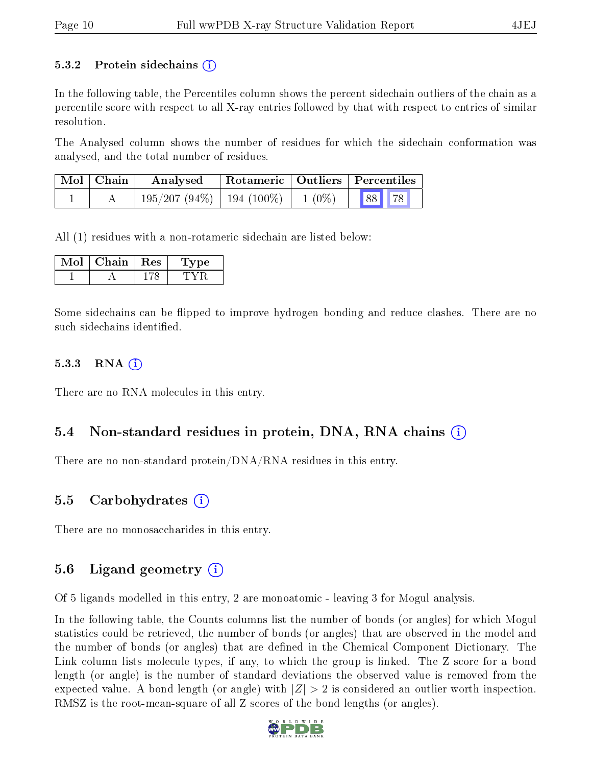#### 5.3.2 Protein sidechains  $\left( \mathbf{r} \right)$

In the following table, the Percentiles column shows the percent sidechain outliers of the chain as a percentile score with respect to all X-ray entries followed by that with respect to entries of similar resolution.

The Analysed column shows the number of residues for which the sidechain conformation was analysed, and the total number of residues.

| Mol   Chain | Analysed                                 | $\perp$ Rotameric   Outliers   Percentiles |       |  |
|-------------|------------------------------------------|--------------------------------------------|-------|--|
|             | $195/207 (94\%)$   194 (100\%)   1 (0\%) |                                            | 88 78 |  |

All (1) residues with a non-rotameric sidechain are listed below:

| Chain | $\mathbf{Res}$ | 7pe. |
|-------|----------------|------|
|       |                |      |

Some sidechains can be flipped to improve hydrogen bonding and reduce clashes. There are no such sidechains identified.

#### 5.3.3 RNA (1)

There are no RNA molecules in this entry.

### 5.4 Non-standard residues in protein, DNA, RNA chains  $(i)$

There are no non-standard protein/DNA/RNA residues in this entry.

### 5.5 Carbohydrates (i)

There are no monosaccharides in this entry.

### 5.6 Ligand geometry  $(i)$

Of 5 ligands modelled in this entry, 2 are monoatomic - leaving 3 for Mogul analysis.

In the following table, the Counts columns list the number of bonds (or angles) for which Mogul statistics could be retrieved, the number of bonds (or angles) that are observed in the model and the number of bonds (or angles) that are dened in the Chemical Component Dictionary. The Link column lists molecule types, if any, to which the group is linked. The Z score for a bond length (or angle) is the number of standard deviations the observed value is removed from the expected value. A bond length (or angle) with  $|Z| > 2$  is considered an outlier worth inspection. RMSZ is the root-mean-square of all Z scores of the bond lengths (or angles).

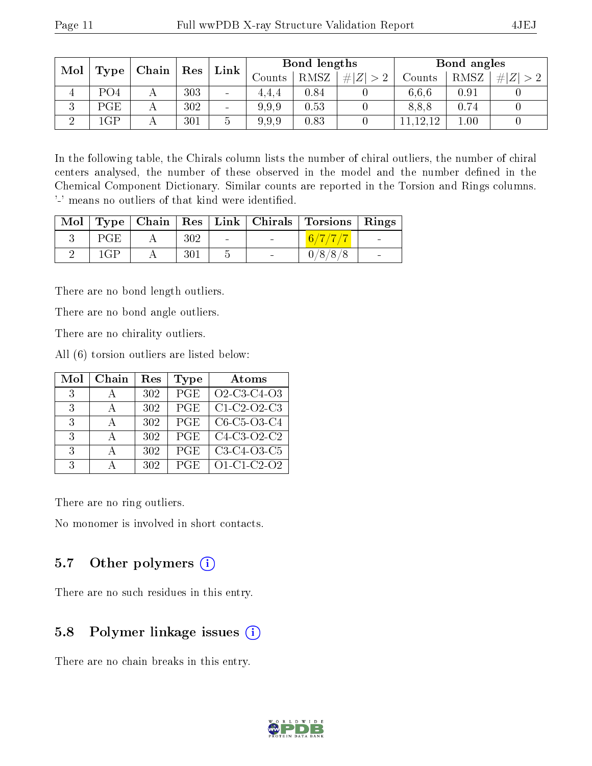| Mol | Type                  | $\mid$ Chain $\mid$ | $\operatorname{Res}$ | $\mathbf{Link}$ |        | Bond lengths |   |        | Bond angles |         |
|-----|-----------------------|---------------------|----------------------|-----------------|--------|--------------|---|--------|-------------|---------|
|     |                       |                     |                      |                 | Counts | <b>RMSZ</b>  | Z | Counts | RMSZ        | Z <br># |
| 4   | PO <sub>4</sub>       |                     | 303                  | $\qquad \qquad$ | 4.4.4  | 0.84         |   | 6,6,6  | 0.91        |         |
| Ő   | PGE                   |                     | 302                  |                 | 9.9.9  | 0.53         |   | 8,8,8  | 0.74        |         |
| ച   | $\overline{\text{G}}$ |                     | 301                  |                 | 9.9.9  | 0.83         |   | 12.12  | 1.00        |         |

In the following table, the Chirals column lists the number of chiral outliers, the number of chiral centers analysed, the number of these observed in the model and the number defined in the Chemical Component Dictionary. Similar counts are reported in the Torsion and Rings columns. '-' means no outliers of that kind were identified.

|     |     |            |        | Mol   Type   Chain   Res   Link   Chirals   Torsions   Rings |                          |
|-----|-----|------------|--------|--------------------------------------------------------------|--------------------------|
| PGE | 302 | $\sim 100$ | $\sim$ | (6/7/7/7)                                                    | <b>Contract</b>          |
| 1GP | 301 |            | $\sim$ | 0/8/8/8                                                      | $\overline{\phantom{0}}$ |

There are no bond length outliers.

There are no bond angle outliers.

There are no chirality outliers.

All (6) torsion outliers are listed below:

| Mol           | Chain    | Res | Type       | Atoms                                                          |
|---------------|----------|-----|------------|----------------------------------------------------------------|
| -3            |          | 302 | PGE        | O <sub>2</sub> -C <sub>3</sub> -C <sub>4</sub> -O <sub>3</sub> |
| $\mathcal{S}$ | $\Delta$ | 302 | PGE        | $C1-C2-O2-C3$                                                  |
| $\mathcal{R}$ | А        | 302 | <b>PGE</b> | $C6-C5-C3-C4$                                                  |
| $\mathcal{R}$ | $\Delta$ | 302 | <b>PGE</b> | $C4-C3-O2-C2$                                                  |
| $\mathcal{E}$ | А        | 302 | PGE        | C3-C4-O3-C5                                                    |
| $\mathcal{R}$ |          | 302 | PGE        | $O1-C1-C2-O2$                                                  |

There are no ring outliers.

No monomer is involved in short contacts.

### 5.7 [O](https://www.wwpdb.org/validation/2017/XrayValidationReportHelp#nonstandard_residues_and_ligands)ther polymers  $(i)$

There are no such residues in this entry.

### 5.8 Polymer linkage issues (i)

There are no chain breaks in this entry.

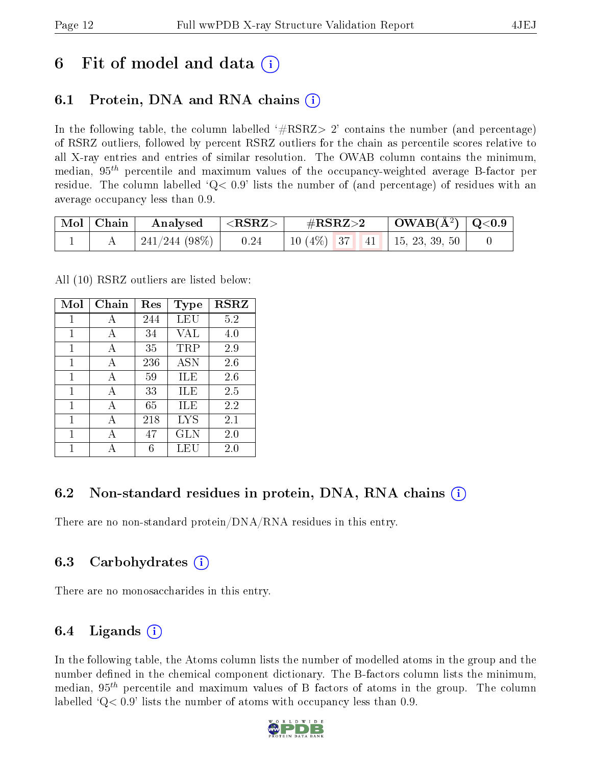# 6 Fit of model and data  $\left( \cdot \right)$

# 6.1 Protein, DNA and RNA chains (i)

In the following table, the column labelled  $#RSRZ>2'$  contains the number (and percentage) of RSRZ outliers, followed by percent RSRZ outliers for the chain as percentile scores relative to all X-ray entries and entries of similar resolution. The OWAB column contains the minimum, median,  $95<sup>th</sup>$  percentile and maximum values of the occupancy-weighted average B-factor per residue. The column labelled  $Q< 0.9$  lists the number of (and percentage) of residues with an average occupancy less than 0.9.

| $\vert$ Mol $\vert$ Chain $\vert$ | $\mathbf{Analysed}$ $\vert \langle \text{RSRZ}\rangle \vert$ | $\rm \#RSRZ{>}2$                      | $\vert$ OWAB(Å <sup>2</sup> ) $\vert$ Q<0.9 |  |
|-----------------------------------|--------------------------------------------------------------|---------------------------------------|---------------------------------------------|--|
|                                   | $241/244$ (98\%)   0.24                                      | 10 $(4\%)$   37   41   15, 23, 39, 50 |                                             |  |

All (10) RSRZ outliers are listed below:

| Mol          | Chain | $\operatorname{Res}% \left( \mathcal{N}\right) \equiv\operatorname{Res}(\mathcal{N}_{0},\mathcal{N}_{0})$ | <b>Type</b> | <b>RSRZ</b> |
|--------------|-------|-----------------------------------------------------------------------------------------------------------|-------------|-------------|
| 1            | А     | 244                                                                                                       | LEU         | 5.2         |
| $\mathbf{1}$ | A     | 34                                                                                                        | VAL         | 4.0         |
| 1            | A     | 35                                                                                                        | TRP         | 2.9         |
| 1            | A     | 236                                                                                                       | <b>ASN</b>  | 2.6         |
| 1            | A     | 59                                                                                                        | ILE         | 2.6         |
| 1            | A     | 33                                                                                                        | ILE         | 2.5         |
| 1            | A     | 65                                                                                                        | ILE         | 2.2         |
| 1            | A     | 218                                                                                                       | LYS         | 2.1         |
| 1            | А     | 47                                                                                                        | GLN         | 2.0         |
| 1            |       | 6                                                                                                         | LEU         | 2.0         |

# 6.2 Non-standard residues in protein, DNA, RNA chains (i)

There are no non-standard protein/DNA/RNA residues in this entry.

### 6.3 Carbohydrates (i)

There are no monosaccharides in this entry.

# 6.4 Ligands  $(i)$

In the following table, the Atoms column lists the number of modelled atoms in the group and the number defined in the chemical component dictionary. The B-factors column lists the minimum, median,  $95<sup>th</sup>$  percentile and maximum values of B factors of atoms in the group. The column labelled  $Q< 0.9$ ' lists the number of atoms with occupancy less than 0.9.